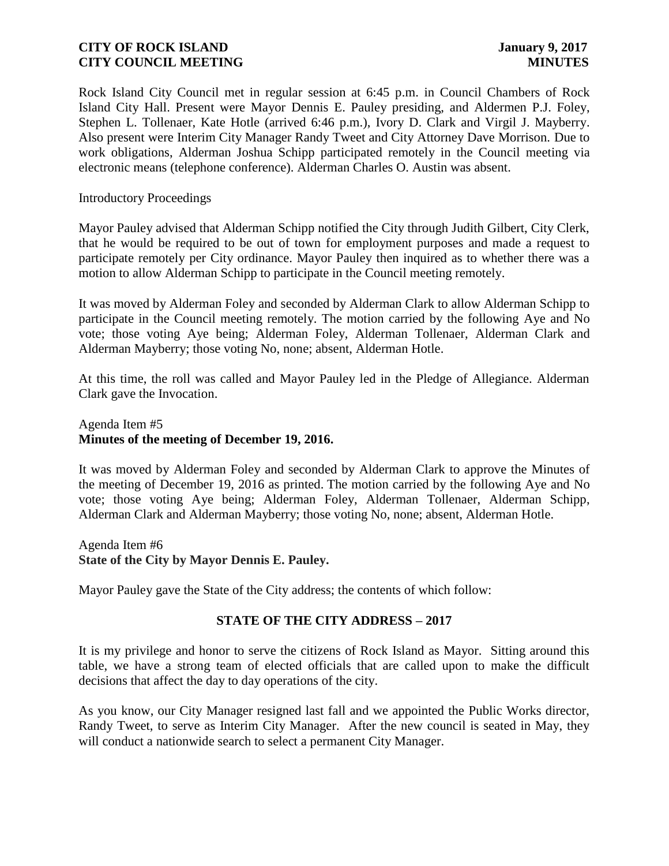Rock Island City Council met in regular session at 6:45 p.m. in Council Chambers of Rock Island City Hall. Present were Mayor Dennis E. Pauley presiding, and Aldermen P.J. Foley, Stephen L. Tollenaer, Kate Hotle (arrived 6:46 p.m.), Ivory D. Clark and Virgil J. Mayberry. Also present were Interim City Manager Randy Tweet and City Attorney Dave Morrison. Due to work obligations, Alderman Joshua Schipp participated remotely in the Council meeting via electronic means (telephone conference). Alderman Charles O. Austin was absent.

### Introductory Proceedings

Mayor Pauley advised that Alderman Schipp notified the City through Judith Gilbert, City Clerk, that he would be required to be out of town for employment purposes and made a request to participate remotely per City ordinance. Mayor Pauley then inquired as to whether there was a motion to allow Alderman Schipp to participate in the Council meeting remotely.

It was moved by Alderman Foley and seconded by Alderman Clark to allow Alderman Schipp to participate in the Council meeting remotely. The motion carried by the following Aye and No vote; those voting Aye being; Alderman Foley, Alderman Tollenaer, Alderman Clark and Alderman Mayberry; those voting No, none; absent, Alderman Hotle.

At this time, the roll was called and Mayor Pauley led in the Pledge of Allegiance. Alderman Clark gave the Invocation.

# Agenda Item #5 **Minutes of the meeting of December 19, 2016.**

It was moved by Alderman Foley and seconded by Alderman Clark to approve the Minutes of the meeting of December 19, 2016 as printed. The motion carried by the following Aye and No vote; those voting Aye being; Alderman Foley, Alderman Tollenaer, Alderman Schipp, Alderman Clark and Alderman Mayberry; those voting No, none; absent, Alderman Hotle.

Agenda Item #6 **State of the City by Mayor Dennis E. Pauley.** 

Mayor Pauley gave the State of the City address; the contents of which follow:

# **STATE OF THE CITY ADDRESS – 2017**

It is my privilege and honor to serve the citizens of Rock Island as Mayor. Sitting around this table, we have a strong team of elected officials that are called upon to make the difficult decisions that affect the day to day operations of the city.

As you know, our City Manager resigned last fall and we appointed the Public Works director, Randy Tweet, to serve as Interim City Manager. After the new council is seated in May, they will conduct a nationwide search to select a permanent City Manager.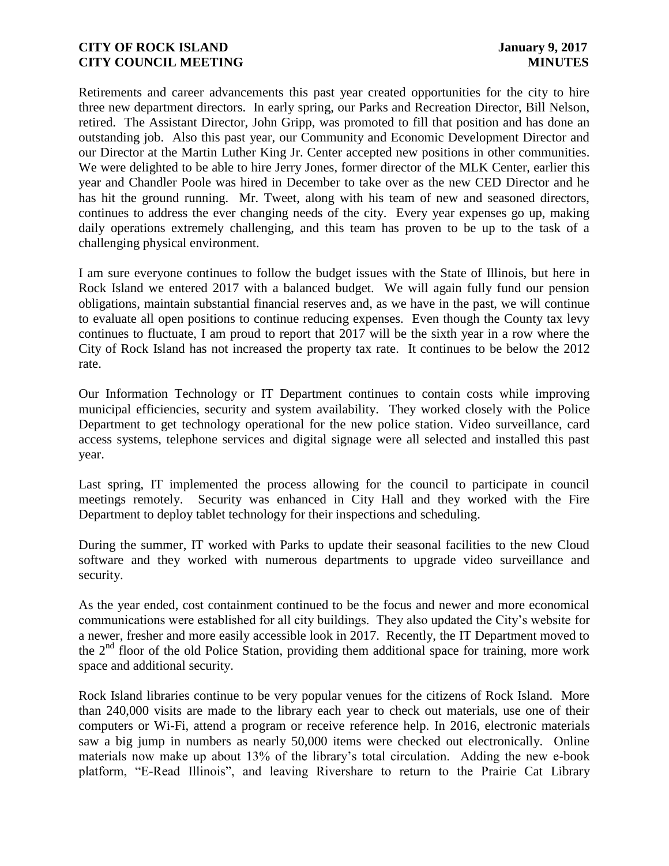Retirements and career advancements this past year created opportunities for the city to hire three new department directors. In early spring, our Parks and Recreation Director, Bill Nelson, retired. The Assistant Director, John Gripp, was promoted to fill that position and has done an outstanding job. Also this past year, our Community and Economic Development Director and our Director at the Martin Luther King Jr. Center accepted new positions in other communities. We were delighted to be able to hire Jerry Jones, former director of the MLK Center, earlier this year and Chandler Poole was hired in December to take over as the new CED Director and he has hit the ground running. Mr. Tweet, along with his team of new and seasoned directors, continues to address the ever changing needs of the city. Every year expenses go up, making daily operations extremely challenging, and this team has proven to be up to the task of a challenging physical environment.

I am sure everyone continues to follow the budget issues with the State of Illinois, but here in Rock Island we entered 2017 with a balanced budget. We will again fully fund our pension obligations, maintain substantial financial reserves and, as we have in the past, we will continue to evaluate all open positions to continue reducing expenses. Even though the County tax levy continues to fluctuate, I am proud to report that 2017 will be the sixth year in a row where the City of Rock Island has not increased the property tax rate. It continues to be below the 2012 rate.

Our Information Technology or IT Department continues to contain costs while improving municipal efficiencies, security and system availability. They worked closely with the Police Department to get technology operational for the new police station. Video surveillance, card access systems, telephone services and digital signage were all selected and installed this past year.

Last spring, IT implemented the process allowing for the council to participate in council meetings remotely. Security was enhanced in City Hall and they worked with the Fire Department to deploy tablet technology for their inspections and scheduling.

During the summer, IT worked with Parks to update their seasonal facilities to the new Cloud software and they worked with numerous departments to upgrade video surveillance and security.

As the year ended, cost containment continued to be the focus and newer and more economical communications were established for all city buildings. They also updated the City's website for a newer, fresher and more easily accessible look in 2017. Recently, the IT Department moved to the  $2<sup>nd</sup>$  floor of the old Police Station, providing them additional space for training, more work space and additional security.

Rock Island libraries continue to be very popular venues for the citizens of Rock Island. More than 240,000 visits are made to the library each year to check out materials, use one of their computers or Wi-Fi, attend a program or receive reference help. In 2016, electronic materials saw a big jump in numbers as nearly 50,000 items were checked out electronically. Online materials now make up about 13% of the library's total circulation. Adding the new e-book platform, "E-Read Illinois", and leaving Rivershare to return to the Prairie Cat Library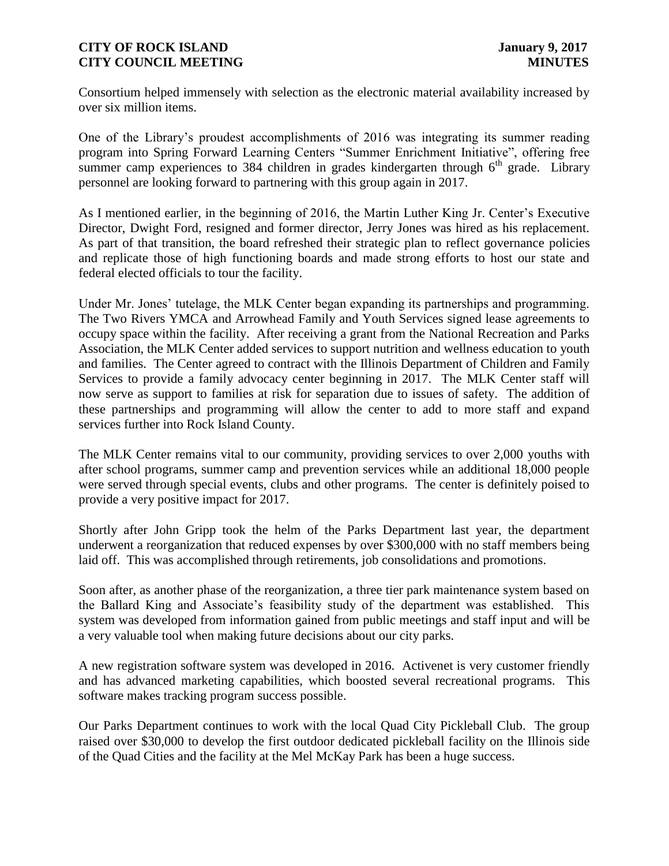Consortium helped immensely with selection as the electronic material availability increased by over six million items.

One of the Library's proudest accomplishments of 2016 was integrating its summer reading program into Spring Forward Learning Centers "Summer Enrichment Initiative", offering free summer camp experiences to 384 children in grades kindergarten through  $6<sup>th</sup>$  grade. Library personnel are looking forward to partnering with this group again in 2017.

As I mentioned earlier, in the beginning of 2016, the Martin Luther King Jr. Center's Executive Director, Dwight Ford, resigned and former director, Jerry Jones was hired as his replacement. As part of that transition, the board refreshed their strategic plan to reflect governance policies and replicate those of high functioning boards and made strong efforts to host our state and federal elected officials to tour the facility.

Under Mr. Jones' tutelage, the MLK Center began expanding its partnerships and programming. The Two Rivers YMCA and Arrowhead Family and Youth Services signed lease agreements to occupy space within the facility. After receiving a grant from the National Recreation and Parks Association, the MLK Center added services to support nutrition and wellness education to youth and families. The Center agreed to contract with the Illinois Department of Children and Family Services to provide a family advocacy center beginning in 2017. The MLK Center staff will now serve as support to families at risk for separation due to issues of safety. The addition of these partnerships and programming will allow the center to add to more staff and expand services further into Rock Island County.

The MLK Center remains vital to our community, providing services to over 2,000 youths with after school programs, summer camp and prevention services while an additional 18,000 people were served through special events, clubs and other programs. The center is definitely poised to provide a very positive impact for 2017.

Shortly after John Gripp took the helm of the Parks Department last year, the department underwent a reorganization that reduced expenses by over \$300,000 with no staff members being laid off. This was accomplished through retirements, job consolidations and promotions.

Soon after, as another phase of the reorganization, a three tier park maintenance system based on the Ballard King and Associate's feasibility study of the department was established. This system was developed from information gained from public meetings and staff input and will be a very valuable tool when making future decisions about our city parks.

A new registration software system was developed in 2016. Activenet is very customer friendly and has advanced marketing capabilities, which boosted several recreational programs. This software makes tracking program success possible.

Our Parks Department continues to work with the local Quad City Pickleball Club. The group raised over \$30,000 to develop the first outdoor dedicated pickleball facility on the Illinois side of the Quad Cities and the facility at the Mel McKay Park has been a huge success.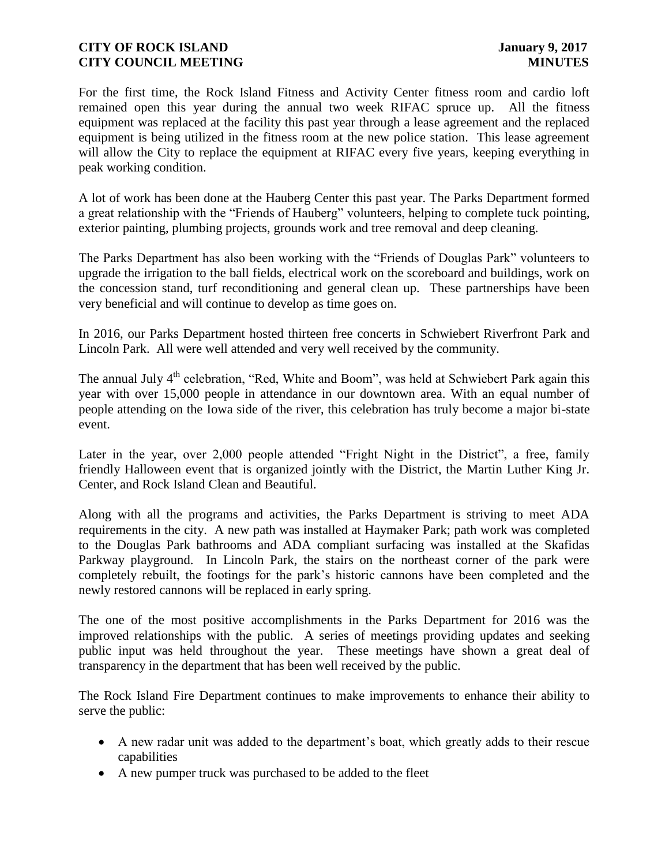For the first time, the Rock Island Fitness and Activity Center fitness room and cardio loft remained open this year during the annual two week RIFAC spruce up. All the fitness equipment was replaced at the facility this past year through a lease agreement and the replaced equipment is being utilized in the fitness room at the new police station. This lease agreement will allow the City to replace the equipment at RIFAC every five years, keeping everything in peak working condition.

A lot of work has been done at the Hauberg Center this past year. The Parks Department formed a great relationship with the "Friends of Hauberg" volunteers, helping to complete tuck pointing, exterior painting, plumbing projects, grounds work and tree removal and deep cleaning.

The Parks Department has also been working with the "Friends of Douglas Park" volunteers to upgrade the irrigation to the ball fields, electrical work on the scoreboard and buildings, work on the concession stand, turf reconditioning and general clean up. These partnerships have been very beneficial and will continue to develop as time goes on.

In 2016, our Parks Department hosted thirteen free concerts in Schwiebert Riverfront Park and Lincoln Park. All were well attended and very well received by the community.

The annual July  $4<sup>th</sup>$  celebration, "Red, White and Boom", was held at Schwiebert Park again this year with over 15,000 people in attendance in our downtown area. With an equal number of people attending on the Iowa side of the river, this celebration has truly become a major bi-state event.

Later in the year, over 2,000 people attended "Fright Night in the District", a free, family friendly Halloween event that is organized jointly with the District, the Martin Luther King Jr. Center, and Rock Island Clean and Beautiful.

Along with all the programs and activities, the Parks Department is striving to meet ADA requirements in the city. A new path was installed at Haymaker Park; path work was completed to the Douglas Park bathrooms and ADA compliant surfacing was installed at the Skafidas Parkway playground. In Lincoln Park, the stairs on the northeast corner of the park were completely rebuilt, the footings for the park's historic cannons have been completed and the newly restored cannons will be replaced in early spring.

The one of the most positive accomplishments in the Parks Department for 2016 was the improved relationships with the public. A series of meetings providing updates and seeking public input was held throughout the year. These meetings have shown a great deal of transparency in the department that has been well received by the public.

The Rock Island Fire Department continues to make improvements to enhance their ability to serve the public:

- A new radar unit was added to the department's boat, which greatly adds to their rescue capabilities
- A new pumper truck was purchased to be added to the fleet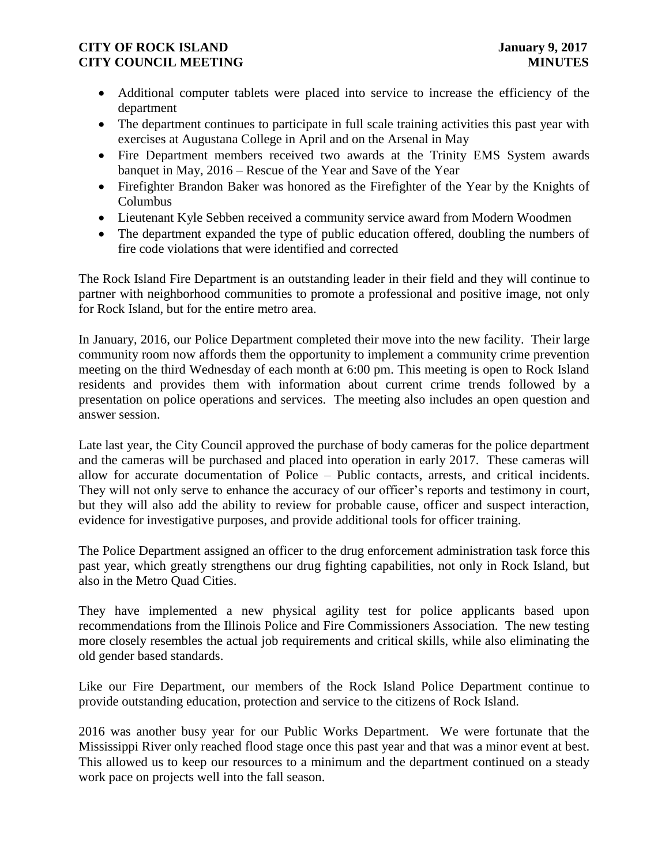- Additional computer tablets were placed into service to increase the efficiency of the department
- The department continues to participate in full scale training activities this past year with exercises at Augustana College in April and on the Arsenal in May
- Fire Department members received two awards at the Trinity EMS System awards banquet in May, 2016 – Rescue of the Year and Save of the Year
- Firefighter Brandon Baker was honored as the Firefighter of the Year by the Knights of Columbus
- Lieutenant Kyle Sebben received a community service award from Modern Woodmen
- The department expanded the type of public education offered, doubling the numbers of fire code violations that were identified and corrected

The Rock Island Fire Department is an outstanding leader in their field and they will continue to partner with neighborhood communities to promote a professional and positive image, not only for Rock Island, but for the entire metro area.

In January, 2016, our Police Department completed their move into the new facility. Their large community room now affords them the opportunity to implement a community crime prevention meeting on the third Wednesday of each month at 6:00 pm. This meeting is open to Rock Island residents and provides them with information about current crime trends followed by a presentation on police operations and services. The meeting also includes an open question and answer session.

Late last year, the City Council approved the purchase of body cameras for the police department and the cameras will be purchased and placed into operation in early 2017. These cameras will allow for accurate documentation of Police – Public contacts, arrests, and critical incidents. They will not only serve to enhance the accuracy of our officer's reports and testimony in court, but they will also add the ability to review for probable cause, officer and suspect interaction, evidence for investigative purposes, and provide additional tools for officer training.

The Police Department assigned an officer to the drug enforcement administration task force this past year, which greatly strengthens our drug fighting capabilities, not only in Rock Island, but also in the Metro Quad Cities.

They have implemented a new physical agility test for police applicants based upon recommendations from the Illinois Police and Fire Commissioners Association. The new testing more closely resembles the actual job requirements and critical skills, while also eliminating the old gender based standards.

Like our Fire Department, our members of the Rock Island Police Department continue to provide outstanding education, protection and service to the citizens of Rock Island.

2016 was another busy year for our Public Works Department. We were fortunate that the Mississippi River only reached flood stage once this past year and that was a minor event at best. This allowed us to keep our resources to a minimum and the department continued on a steady work pace on projects well into the fall season.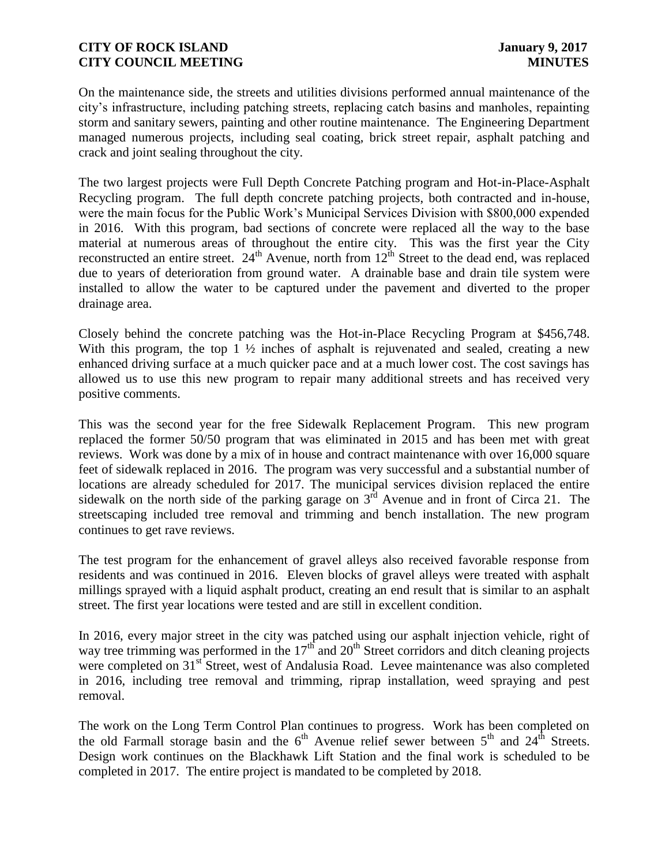On the maintenance side, the streets and utilities divisions performed annual maintenance of the city's infrastructure, including patching streets, replacing catch basins and manholes, repainting storm and sanitary sewers, painting and other routine maintenance. The Engineering Department managed numerous projects, including seal coating, brick street repair, asphalt patching and crack and joint sealing throughout the city.

The two largest projects were Full Depth Concrete Patching program and Hot-in-Place-Asphalt Recycling program. The full depth concrete patching projects, both contracted and in-house, were the main focus for the Public Work's Municipal Services Division with \$800,000 expended in 2016. With this program, bad sections of concrete were replaced all the way to the base material at numerous areas of throughout the entire city. This was the first year the City reconstructed an entire street.  $24<sup>th</sup>$  Avenue, north from  $12<sup>th</sup>$  Street to the dead end, was replaced due to years of deterioration from ground water. A drainable base and drain tile system were installed to allow the water to be captured under the pavement and diverted to the proper drainage area.

Closely behind the concrete patching was the Hot-in-Place Recycling Program at \$456,748. With this program, the top 1  $\frac{1}{2}$  inches of asphalt is rejuvenated and sealed, creating a new enhanced driving surface at a much quicker pace and at a much lower cost. The cost savings has allowed us to use this new program to repair many additional streets and has received very positive comments.

This was the second year for the free Sidewalk Replacement Program. This new program replaced the former 50/50 program that was eliminated in 2015 and has been met with great reviews. Work was done by a mix of in house and contract maintenance with over 16,000 square feet of sidewalk replaced in 2016. The program was very successful and a substantial number of locations are already scheduled for 2017. The municipal services division replaced the entire sidewalk on the north side of the parking garage on  $3<sup>rd</sup>$  Avenue and in front of Circa 21. The streetscaping included tree removal and trimming and bench installation. The new program continues to get rave reviews.

The test program for the enhancement of gravel alleys also received favorable response from residents and was continued in 2016. Eleven blocks of gravel alleys were treated with asphalt millings sprayed with a liquid asphalt product, creating an end result that is similar to an asphalt street. The first year locations were tested and are still in excellent condition.

In 2016, every major street in the city was patched using our asphalt injection vehicle, right of way tree trimming was performed in the  $17<sup>th</sup>$  and  $20<sup>th</sup>$  Street corridors and ditch cleaning projects were completed on 31<sup>st</sup> Street, west of Andalusia Road. Levee maintenance was also completed in 2016, including tree removal and trimming, riprap installation, weed spraying and pest removal.

The work on the Long Term Control Plan continues to progress. Work has been completed on the old Farmall storage basin and the  $6<sup>th</sup>$  Avenue relief sewer between  $5<sup>th</sup>$  and  $24<sup>th</sup>$  Streets. Design work continues on the Blackhawk Lift Station and the final work is scheduled to be completed in 2017. The entire project is mandated to be completed by 2018.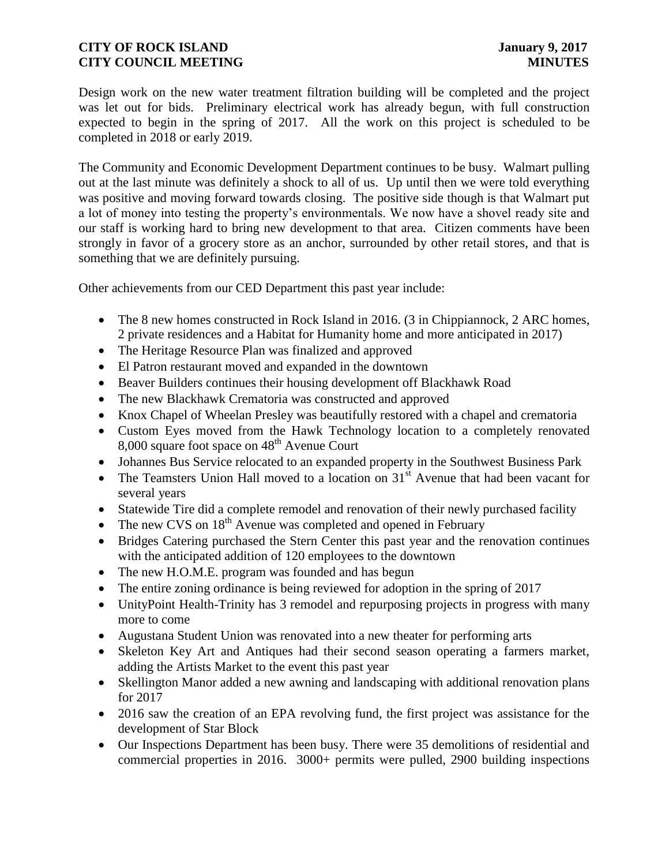Design work on the new water treatment filtration building will be completed and the project was let out for bids. Preliminary electrical work has already begun, with full construction expected to begin in the spring of 2017. All the work on this project is scheduled to be completed in 2018 or early 2019.

The Community and Economic Development Department continues to be busy. Walmart pulling out at the last minute was definitely a shock to all of us. Up until then we were told everything was positive and moving forward towards closing. The positive side though is that Walmart put a lot of money into testing the property's environmentals. We now have a shovel ready site and our staff is working hard to bring new development to that area. Citizen comments have been strongly in favor of a grocery store as an anchor, surrounded by other retail stores, and that is something that we are definitely pursuing.

Other achievements from our CED Department this past year include:

- The 8 new homes constructed in Rock Island in 2016. (3 in Chippiannock, 2 ARC homes, 2 private residences and a Habitat for Humanity home and more anticipated in 2017)
- The Heritage Resource Plan was finalized and approved
- El Patron restaurant moved and expanded in the downtown
- Beaver Builders continues their housing development off Blackhawk Road
- The new Blackhawk Crematoria was constructed and approved
- Knox Chapel of Wheelan Presley was beautifully restored with a chapel and crematoria
- Custom Eyes moved from the Hawk Technology location to a completely renovated 8,000 square foot space on  $48<sup>th</sup>$  Avenue Court
- Johannes Bus Service relocated to an expanded property in the Southwest Business Park
- The Teamsters Union Hall moved to a location on  $31<sup>st</sup>$  Avenue that had been vacant for several years
- Statewide Tire did a complete remodel and renovation of their newly purchased facility
- The new CVS on  $18<sup>th</sup>$  Avenue was completed and opened in February
- Bridges Catering purchased the Stern Center this past year and the renovation continues with the anticipated addition of 120 employees to the downtown
- The new H.O.M.E. program was founded and has begun
- The entire zoning ordinance is being reviewed for adoption in the spring of 2017
- UnityPoint Health-Trinity has 3 remodel and repurposing projects in progress with many more to come
- Augustana Student Union was renovated into a new theater for performing arts
- Skeleton Key Art and Antiques had their second season operating a farmers market, adding the Artists Market to the event this past year
- Skellington Manor added a new awning and landscaping with additional renovation plans for 2017
- 2016 saw the creation of an EPA revolving fund, the first project was assistance for the development of Star Block
- Our Inspections Department has been busy. There were 35 demolitions of residential and commercial properties in 2016. 3000+ permits were pulled, 2900 building inspections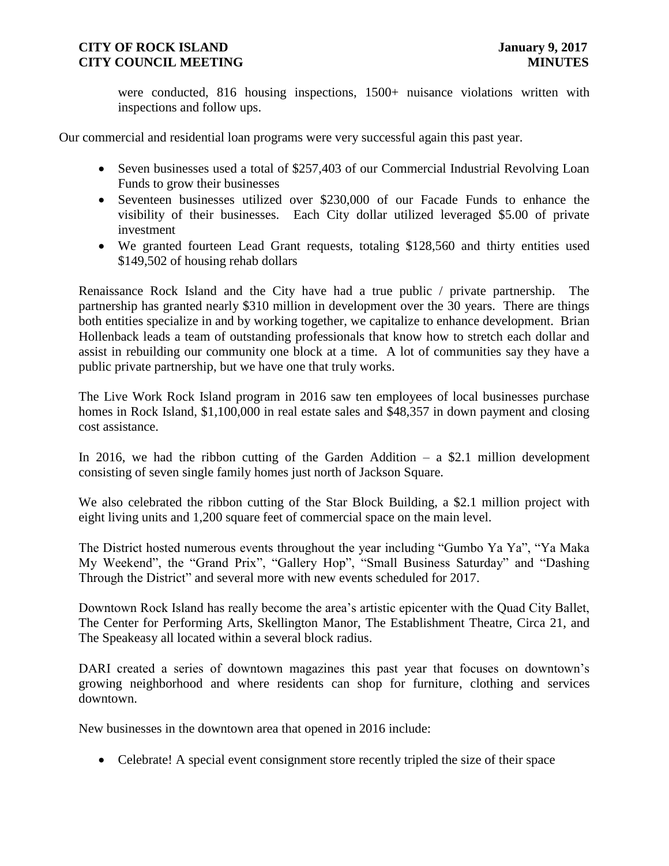were conducted, 816 housing inspections, 1500+ nuisance violations written with inspections and follow ups.

Our commercial and residential loan programs were very successful again this past year.

- Seven businesses used a total of \$257,403 of our Commercial Industrial Revolving Loan Funds to grow their businesses
- Seventeen businesses utilized over \$230,000 of our Facade Funds to enhance the visibility of their businesses. Each City dollar utilized leveraged \$5.00 of private investment
- We granted fourteen Lead Grant requests, totaling \$128,560 and thirty entities used \$149,502 of housing rehab dollars

Renaissance Rock Island and the City have had a true public / private partnership. The partnership has granted nearly \$310 million in development over the 30 years. There are things both entities specialize in and by working together, we capitalize to enhance development. Brian Hollenback leads a team of outstanding professionals that know how to stretch each dollar and assist in rebuilding our community one block at a time. A lot of communities say they have a public private partnership, but we have one that truly works.

The Live Work Rock Island program in 2016 saw ten employees of local businesses purchase homes in Rock Island, \$1,100,000 in real estate sales and \$48,357 in down payment and closing cost assistance.

In 2016, we had the ribbon cutting of the Garden Addition  $-$  a \$2.1 million development consisting of seven single family homes just north of Jackson Square.

We also celebrated the ribbon cutting of the Star Block Building, a \$2.1 million project with eight living units and 1,200 square feet of commercial space on the main level.

The District hosted numerous events throughout the year including "Gumbo Ya Ya", "Ya Maka My Weekend", the "Grand Prix", "Gallery Hop", "Small Business Saturday" and "Dashing Through the District" and several more with new events scheduled for 2017.

Downtown Rock Island has really become the area's artistic epicenter with the Quad City Ballet, The Center for Performing Arts, Skellington Manor, The Establishment Theatre, Circa 21, and The Speakeasy all located within a several block radius.

DARI created a series of downtown magazines this past year that focuses on downtown's growing neighborhood and where residents can shop for furniture, clothing and services downtown.

New businesses in the downtown area that opened in 2016 include:

• Celebrate! A special event consignment store recently tripled the size of their space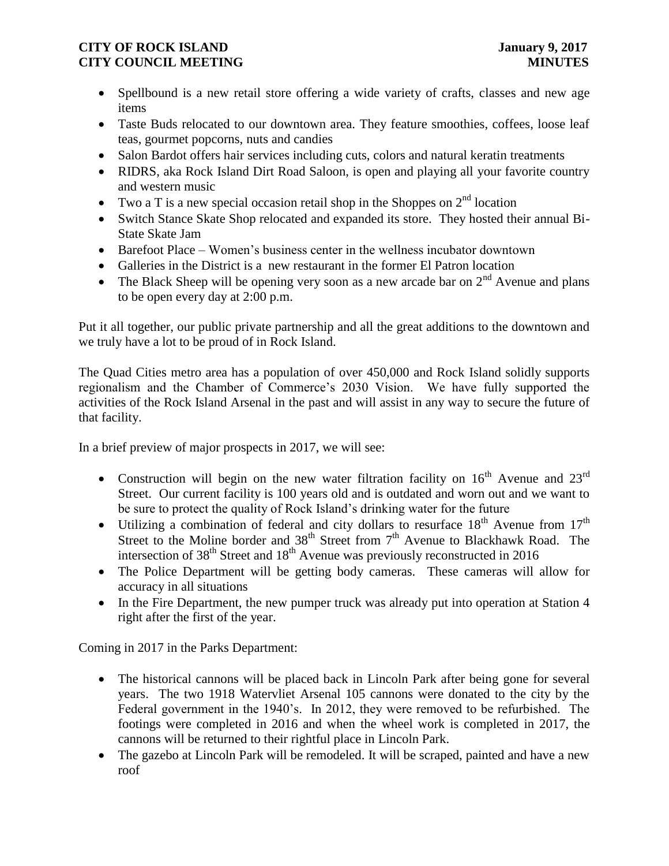- Spellbound is a new retail store offering a wide variety of crafts, classes and new age items
- Taste Buds relocated to our downtown area. They feature smoothies, coffees, loose leaf teas, gourmet popcorns, nuts and candies
- Salon Bardot offers hair services including cuts, colors and natural keratin treatments
- RIDRS, aka Rock Island Dirt Road Saloon, is open and playing all your favorite country and western music
- Two a T is a new special occasion retail shop in the Shoppes on  $2<sup>nd</sup>$  location
- Switch Stance Skate Shop relocated and expanded its store. They hosted their annual Bi-State Skate Jam
- Barefoot Place Women's business center in the wellness incubator downtown
- Galleries in the District is a new restaurant in the former El Patron location
- The Black Sheep will be opening very soon as a new arcade bar on  $2<sup>nd</sup>$  Avenue and plans to be open every day at 2:00 p.m.

Put it all together, our public private partnership and all the great additions to the downtown and we truly have a lot to be proud of in Rock Island.

The Quad Cities metro area has a population of over 450,000 and Rock Island solidly supports regionalism and the Chamber of Commerce's 2030 Vision. We have fully supported the activities of the Rock Island Arsenal in the past and will assist in any way to secure the future of that facility.

In a brief preview of major prospects in 2017, we will see:

- Construction will begin on the new water filtration facility on  $16<sup>th</sup>$  Avenue and  $23<sup>rd</sup>$ Street. Our current facility is 100 years old and is outdated and worn out and we want to be sure to protect the quality of Rock Island's drinking water for the future
- Utilizing a combination of federal and city dollars to resurface  $18<sup>th</sup>$  Avenue from  $17<sup>th</sup>$ Street to the Moline border and  $38<sup>th</sup>$  Street from  $7<sup>th</sup>$  Avenue to Blackhawk Road. The intersection of  $38<sup>th</sup>$  Street and  $18<sup>th</sup>$  Avenue was previously reconstructed in 2016
- The Police Department will be getting body cameras. These cameras will allow for accuracy in all situations
- In the Fire Department, the new pumper truck was already put into operation at Station 4 right after the first of the year.

Coming in 2017 in the Parks Department:

- The historical cannons will be placed back in Lincoln Park after being gone for several years. The two 1918 Watervliet Arsenal 105 cannons were donated to the city by the Federal government in the 1940's. In 2012, they were removed to be refurbished. The footings were completed in 2016 and when the wheel work is completed in 2017, the cannons will be returned to their rightful place in Lincoln Park.
- The gazebo at Lincoln Park will be remodeled. It will be scraped, painted and have a new roof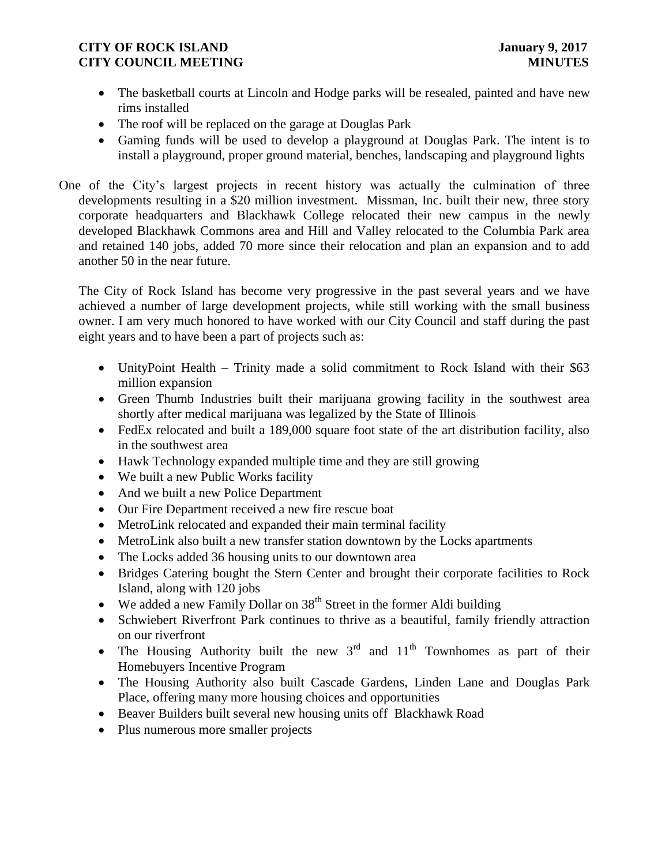- The basketball courts at Lincoln and Hodge parks will be resealed, painted and have new rims installed
- The roof will be replaced on the garage at Douglas Park
- Gaming funds will be used to develop a playground at Douglas Park. The intent is to install a playground, proper ground material, benches, landscaping and playground lights
- One of the City's largest projects in recent history was actually the culmination of three developments resulting in a \$20 million investment. Missman, Inc. built their new, three story corporate headquarters and Blackhawk College relocated their new campus in the newly developed Blackhawk Commons area and Hill and Valley relocated to the Columbia Park area and retained 140 jobs, added 70 more since their relocation and plan an expansion and to add another 50 in the near future.

The City of Rock Island has become very progressive in the past several years and we have achieved a number of large development projects, while still working with the small business owner. I am very much honored to have worked with our City Council and staff during the past eight years and to have been a part of projects such as:

- UnityPoint Health Trinity made a solid commitment to Rock Island with their \$63 million expansion
- Green Thumb Industries built their marijuana growing facility in the southwest area shortly after medical marijuana was legalized by the State of Illinois
- FedEx relocated and built a 189,000 square foot state of the art distribution facility, also in the southwest area
- Hawk Technology expanded multiple time and they are still growing
- We built a new Public Works facility
- And we built a new Police Department
- Our Fire Department received a new fire rescue boat
- MetroLink relocated and expanded their main terminal facility
- MetroLink also built a new transfer station downtown by the Locks apartments
- The Locks added 36 housing units to our downtown area
- Bridges Catering bought the Stern Center and brought their corporate facilities to Rock Island, along with 120 jobs
- $\bullet$  We added a new Family Dollar on 38<sup>th</sup> Street in the former Aldi building
- Schwiebert Riverfront Park continues to thrive as a beautiful, family friendly attraction on our riverfront
- The Housing Authority built the new  $3<sup>rd</sup>$  and  $11<sup>th</sup>$  Townhomes as part of their Homebuyers Incentive Program
- The Housing Authority also built Cascade Gardens, Linden Lane and Douglas Park Place, offering many more housing choices and opportunities
- Beaver Builders built several new housing units off Blackhawk Road
- Plus numerous more smaller projects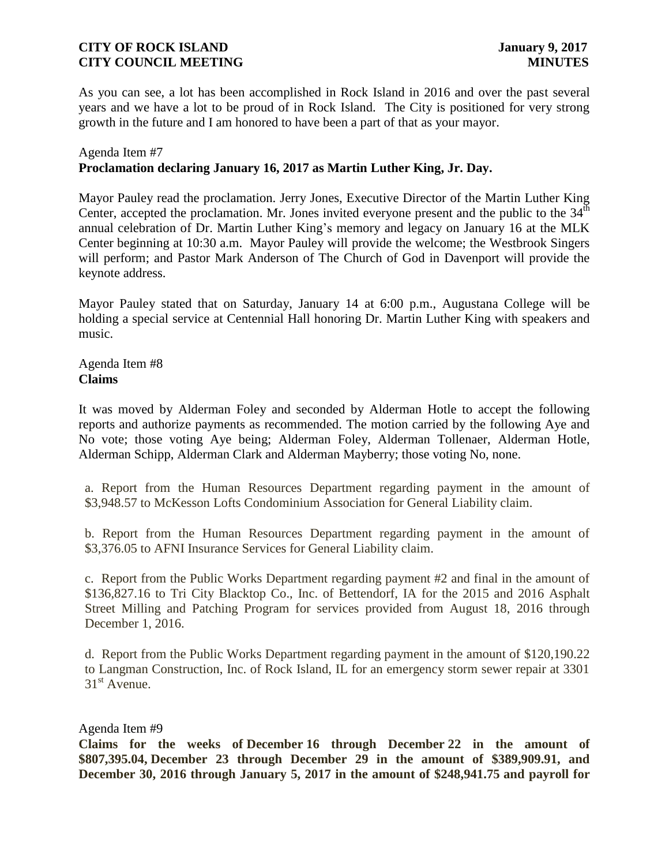As you can see, a lot has been accomplished in Rock Island in 2016 and over the past several years and we have a lot to be proud of in Rock Island. The City is positioned for very strong growth in the future and I am honored to have been a part of that as your mayor.

# Agenda Item #7 **Proclamation declaring January 16, 2017 as Martin Luther King, Jr. Day.**

Mayor Pauley read the proclamation. Jerry Jones, Executive Director of the Martin Luther King Center, accepted the proclamation. Mr. Jones invited everyone present and the public to the  $34<sup>th</sup>$ annual celebration of Dr. Martin Luther King's memory and legacy on January 16 at the MLK Center beginning at 10:30 a.m. Mayor Pauley will provide the welcome; the Westbrook Singers will perform; and Pastor Mark Anderson of The Church of God in Davenport will provide the keynote address.

Mayor Pauley stated that on Saturday, January 14 at 6:00 p.m., Augustana College will be holding a special service at Centennial Hall honoring Dr. Martin Luther King with speakers and music.

Agenda Item #8 **Claims**

It was moved by Alderman Foley and seconded by Alderman Hotle to accept the following reports and authorize payments as recommended. The motion carried by the following Aye and No vote; those voting Aye being; Alderman Foley, Alderman Tollenaer, Alderman Hotle, Alderman Schipp, Alderman Clark and Alderman Mayberry; those voting No, none.

a. Report from the Human Resources Department regarding payment in the amount of \$3,948.57 to McKesson Lofts Condominium Association for General Liability claim.

b. Report from the Human Resources Department regarding payment in the amount of \$3,376.05 to AFNI Insurance Services for General Liability claim.

c. Report from the Public Works Department regarding payment #2 and final in the amount of \$136,827.16 to Tri City Blacktop Co., Inc. of Bettendorf, IA for the 2015 and 2016 Asphalt Street Milling and Patching Program for services provided from August 18, 2016 through December 1, 2016.

d. Report from the Public Works Department regarding payment in the amount of \$120,190.22 to Langman Construction, Inc. of Rock Island, IL for an emergency storm sewer repair at 3301  $31<sup>st</sup>$  Avenue.

Agenda Item #9

**Claims for the weeks of December 16 through December 22 in the amount of \$807,395.04, December 23 through December 29 in the amount of \$389,909.91, and December 30, 2016 through January 5, 2017 in the amount of \$248,941.75 and payroll for**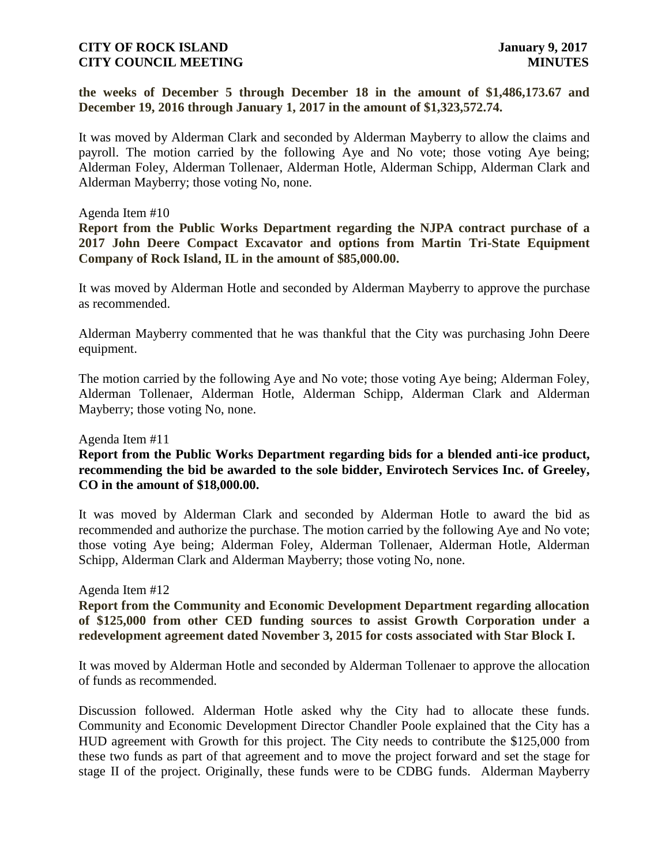### **the weeks of December 5 through December 18 in the amount of \$1,486,173.67 and December 19, 2016 through January 1, 2017 in the amount of \$1,323,572.74.**

It was moved by Alderman Clark and seconded by Alderman Mayberry to allow the claims and payroll. The motion carried by the following Aye and No vote; those voting Aye being; Alderman Foley, Alderman Tollenaer, Alderman Hotle, Alderman Schipp, Alderman Clark and Alderman Mayberry; those voting No, none.

### Agenda Item #10

**Report from the Public Works Department regarding the NJPA contract purchase of a 2017 John Deere Compact Excavator and options from Martin Tri-State Equipment Company of Rock Island, IL in the amount of \$85,000.00.**

It was moved by Alderman Hotle and seconded by Alderman Mayberry to approve the purchase as recommended.

Alderman Mayberry commented that he was thankful that the City was purchasing John Deere equipment.

The motion carried by the following Aye and No vote; those voting Aye being; Alderman Foley, Alderman Tollenaer, Alderman Hotle, Alderman Schipp, Alderman Clark and Alderman Mayberry; those voting No, none.

#### Agenda Item #11

# **Report from the Public Works Department regarding bids for a blended anti-ice product, recommending the bid be awarded to the sole bidder, Envirotech Services Inc. of Greeley, CO in the amount of \$18,000.00.**

It was moved by Alderman Clark and seconded by Alderman Hotle to award the bid as recommended and authorize the purchase. The motion carried by the following Aye and No vote; those voting Aye being; Alderman Foley, Alderman Tollenaer, Alderman Hotle, Alderman Schipp, Alderman Clark and Alderman Mayberry; those voting No, none.

#### Agenda Item #12

**Report from the Community and Economic Development Department regarding allocation of \$125,000 from other CED funding sources to assist Growth Corporation under a redevelopment agreement dated November 3, 2015 for costs associated with Star Block I.**

It was moved by Alderman Hotle and seconded by Alderman Tollenaer to approve the allocation of funds as recommended.

Discussion followed. Alderman Hotle asked why the City had to allocate these funds. Community and Economic Development Director Chandler Poole explained that the City has a HUD agreement with Growth for this project. The City needs to contribute the \$125,000 from these two funds as part of that agreement and to move the project forward and set the stage for stage II of the project. Originally, these funds were to be CDBG funds. Alderman Mayberry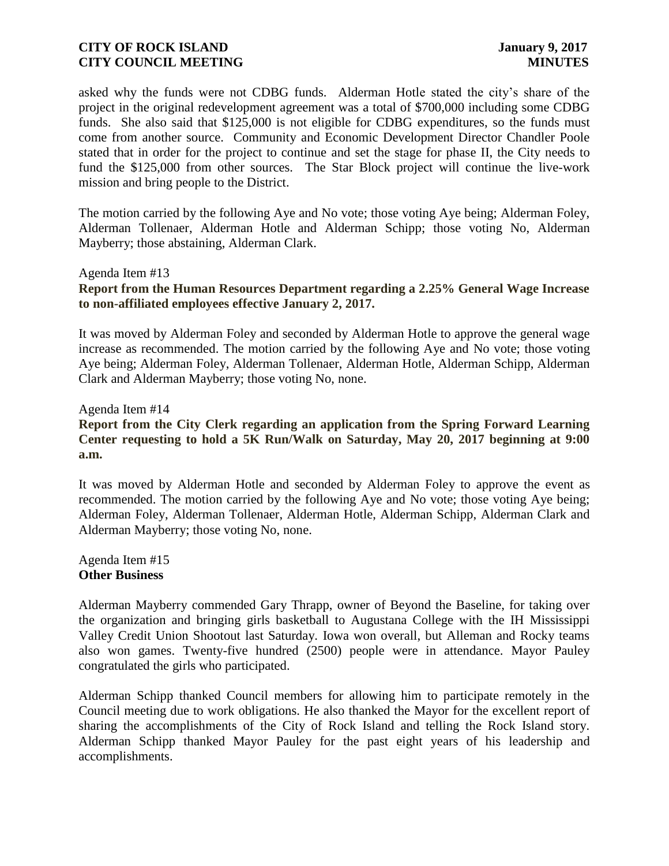asked why the funds were not CDBG funds. Alderman Hotle stated the city's share of the project in the original redevelopment agreement was a total of \$700,000 including some CDBG funds. She also said that \$125,000 is not eligible for CDBG expenditures, so the funds must come from another source. Community and Economic Development Director Chandler Poole stated that in order for the project to continue and set the stage for phase II, the City needs to fund the \$125,000 from other sources. The Star Block project will continue the live-work mission and bring people to the District.

The motion carried by the following Aye and No vote; those voting Aye being; Alderman Foley, Alderman Tollenaer, Alderman Hotle and Alderman Schipp; those voting No, Alderman Mayberry; those abstaining, Alderman Clark.

#### Agenda Item #13

# **Report from the Human Resources Department regarding a 2.25% General Wage Increase to non-affiliated employees effective January 2, 2017.**

It was moved by Alderman Foley and seconded by Alderman Hotle to approve the general wage increase as recommended. The motion carried by the following Aye and No vote; those voting Aye being; Alderman Foley, Alderman Tollenaer, Alderman Hotle, Alderman Schipp, Alderman Clark and Alderman Mayberry; those voting No, none.

### Agenda Item #14

# **Report from the City Clerk regarding an application from the Spring Forward Learning Center requesting to hold a 5K Run/Walk on Saturday, May 20, 2017 beginning at 9:00 a.m.**

It was moved by Alderman Hotle and seconded by Alderman Foley to approve the event as recommended. The motion carried by the following Aye and No vote; those voting Aye being; Alderman Foley, Alderman Tollenaer, Alderman Hotle, Alderman Schipp, Alderman Clark and Alderman Mayberry; those voting No, none.

Agenda Item #15 **Other Business**

Alderman Mayberry commended Gary Thrapp, owner of Beyond the Baseline, for taking over the organization and bringing girls basketball to Augustana College with the IH Mississippi Valley Credit Union Shootout last Saturday. Iowa won overall, but Alleman and Rocky teams also won games. Twenty-five hundred (2500) people were in attendance. Mayor Pauley congratulated the girls who participated.

Alderman Schipp thanked Council members for allowing him to participate remotely in the Council meeting due to work obligations. He also thanked the Mayor for the excellent report of sharing the accomplishments of the City of Rock Island and telling the Rock Island story. Alderman Schipp thanked Mayor Pauley for the past eight years of his leadership and accomplishments.